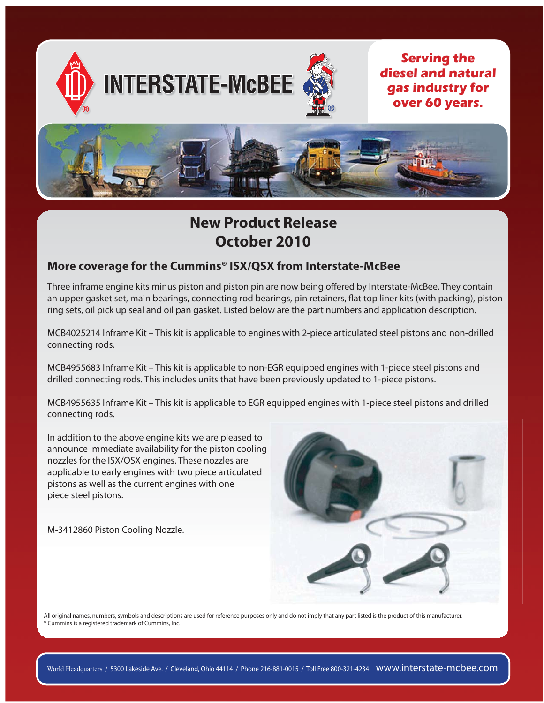

# **New Product Release** October 2010

## More coverage for the Cummins® ISX/QSX from Interstate-McBee

Three inframe engine kits minus piston and piston pin are now being offered by Interstate-McBee. They contain an upper gasket set, main bearings, connecting rod bearings, pin retainers, flat top liner kits (with packing), piston ring sets, oil pick up seal and oil pan gasket. Listed below are the part numbers and application description.

MCB4025214 Inframe Kit – This kit is applicable to engines with 2-piece articulated steel pistons and non-drilled connecting rods.

MCB4955683 Inframe Kit – This kit is applicable to non-EGR equipped engines with 1-piece steel pistons and drilled connecting rods. This includes units that have been previously updated to 1-piece pistons.

MCB4955635 Inframe Kit – This kit is applicable to EGR equipped engines with 1-piece steel pistons and drilled connecting rods.

In addition to the above engine kits we are pleased to announce immediate availability for the piston cooling nozzles for the ISX/QSX engines. These nozzles are applicable to early engines with two piece articulated pistons as well as the current engines with one piece steel pistons.

M-3412860 Piston Cooling Nozzle.



All original names, numbers, symbols and descriptions are used for reference purposes only and do not imply that any part listed is the product of this manufacturer. Cummins is a registered trademark of Cummins, Inc.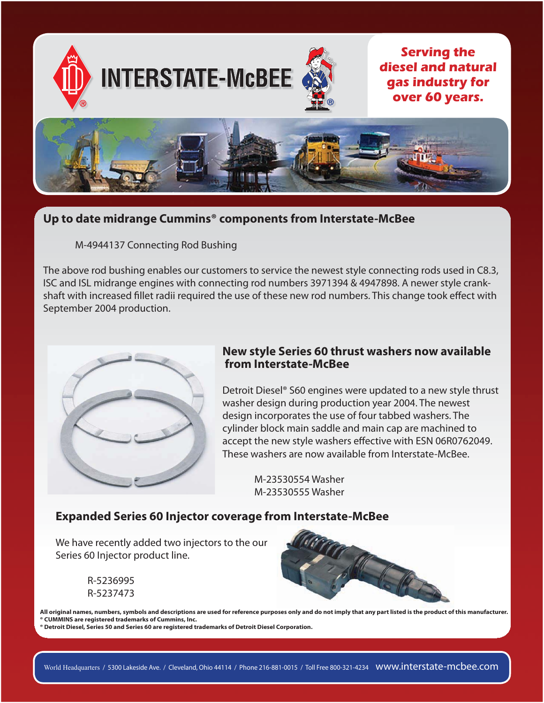

# Up to date midrange Cummins<sup>®</sup> components from Interstate-McBee

M-4944137 Connecting Rod Bushing

The above rod bushing enables our customers to service the newest style connecting rods used in C8.3, ISC and ISL midrange engines with connecting rod numbers 3971394 & 4947898. A newer style crankshaft with increased fillet radii required the use of these new rod numbers. This change took effect with September 2004 production.



## New style Series 60 thrust washers now available from Interstate-McBee

Detroit Diesel® S60 engines were updated to a new style thrust washer design during production year 2004. The newest design incorporates the use of four tabbed washers. The cylinder block main saddle and main cap are machined to accept the new style washers effective with ESN 06R0762049. These washers are now available from Interstate-McBee.

> M-23530554 Washer M-23530555 Washer

### **Expanded Series 60 Injector coverage from Interstate-McBee**

We have recently added two injectors to the our Series 60 Injector product line.

> R-5236995 R-5237473



All original names, numbers, symbols and descriptions are used for reference purposes only and do not imply that any part listed is the product of this manufacturer. <sup>®</sup> CUMMINS are registered trademarks of Cummins, Inc.

Detroit Diesel, Series 50 and Series 60 are registered trademarks of Detroit Diesel Corporation.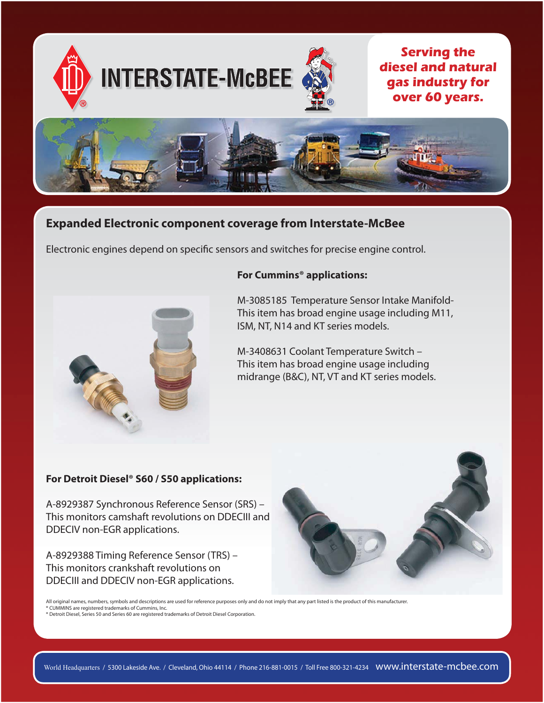

# **Expanded Electronic component coverage from Interstate-McBee**

Electronic engines depend on specific sensors and switches for precise engine control.



#### For Cummins<sup>®</sup> applications:

M-3085185 Temperature Sensor Intake Manifold-This item has broad engine usage including M11, ISM, NT, N14 and KT series models.

M-3408631 Coolant Temperature Switch -This item has broad engine usage including midrange (B&C), NT, VT and KT series models.

#### For Detroit Diesel® S60 / S50 applications:

A-8929387 Synchronous Reference Sensor (SRS) -This monitors camshaft revolutions on DDECIII and DDECIV non-EGR applications.

A-8929388 Timing Reference Sensor (TRS) -This monitors crankshaft revolutions on DDECIII and DDECIV non-EGR applications.



All original names, numbers, symbols and descriptions are used for reference purposes only and do not imply that any part listed is the product of this manufacturer. Autorignium annual proportion of Cummins, Inc.<br>• CUMMINS are registered trademarks of Cummins, Inc.<br>• Detroit Diesel, Series 50 and Series 60 are registered trademarks of Detroit Diesel Corporation.